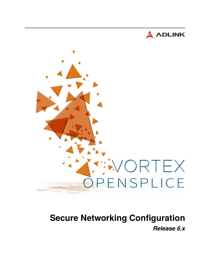



# **Secure Networking Configuration** *Release 6.x*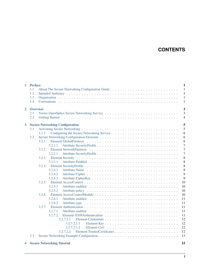# **CONTENTS**

| $\mathbf{1}$   | <b>Preface</b><br>1.1<br>1.2<br>1.3<br>1.4 | 1<br>$\mathbf{1}$<br>About The Secure Networking Configuration Guide<br>$\mathbf{1}$<br>1<br>$\mathbf{1}$                                                                                                                                                                                                                                                                                                                           |
|----------------|--------------------------------------------|-------------------------------------------------------------------------------------------------------------------------------------------------------------------------------------------------------------------------------------------------------------------------------------------------------------------------------------------------------------------------------------------------------------------------------------|
| $\overline{2}$ | <b>Overview</b><br>2.1<br>2.2              | 3<br>3<br>$\overline{4}$                                                                                                                                                                                                                                                                                                                                                                                                            |
| $\mathbf{3}$   | 3.1<br>3.2                                 | 5<br><b>Secure Networking Configuration</b><br>5<br>6<br>3.1.1<br>6<br>3.2.1<br>6<br>3.2.1.1<br>7<br>$\overline{7}$<br>3.2.2<br>7<br>3.2.2.1<br>8<br>3.2.3<br>8<br>3.2.3.1<br>8<br>3.2.4<br>8<br>3.2.4.1<br>9<br>3.2.4.2<br>9<br>3.2.4.3<br>10<br>3.2.5<br>10<br>3.2.5.1<br>3.2.5.2<br>10<br>3.2.6<br>10<br>3.2.6.1<br>11<br>3.2.6.2<br>11<br>3.2.7<br>11<br>3.2.7.1<br>11<br>3.2.7.2<br>11<br>12<br>3.2.7.2.1<br>12<br>3.2.7.2.1.1 |
|                | 3.3                                        | 12<br>3.2.7.2.1.2<br>12<br>3.2.7.2.2<br>13                                                                                                                                                                                                                                                                                                                                                                                          |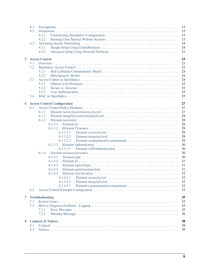|   | 4.1<br>4.2<br>4.3 | 15<br>15<br>15<br>4.2.1<br>17<br>4.2.2<br>18<br>18<br>4.3.1<br>4.3.2<br>21                                                             |
|---|-------------------|----------------------------------------------------------------------------------------------------------------------------------------|
| 5 |                   | 23<br><b>Access Control</b>                                                                                                            |
|   | 5.1               | 23                                                                                                                                     |
|   | 5.2               | 23                                                                                                                                     |
|   |                   | 5.2.1<br>24                                                                                                                            |
|   |                   | 5.2.2<br>24                                                                                                                            |
|   | 5.3               | 24                                                                                                                                     |
|   |                   | 25<br>5.3.1                                                                                                                            |
|   |                   | 5.3.2<br>25<br>Secure <i>vs.</i> Insecure $\ldots \ldots \ldots \ldots \ldots \ldots \ldots \ldots \ldots \ldots \ldots \ldots \ldots$ |
|   |                   | 5.3.3<br>25                                                                                                                            |
|   | 5.4               | 25                                                                                                                                     |
|   |                   |                                                                                                                                        |
| 6 |                   | 27<br><b>Access Control Configuration</b>                                                                                              |
|   | 6.1               | 27                                                                                                                                     |
|   |                   | 27<br>6.1.1                                                                                                                            |
|   |                   | 28<br>6.1.2                                                                                                                            |
|   |                   | 28<br>6.1.3                                                                                                                            |
|   |                   | 28<br>6.1.3.1                                                                                                                          |
|   |                   | 29<br>6.1.3.2                                                                                                                          |
|   |                   | 29<br>6.1.3.2.1                                                                                                                        |
|   |                   | 29<br>6.1.3.2.2                                                                                                                        |
|   |                   | 29<br>6.1.3.2.3                                                                                                                        |
|   |                   | 30<br>6.1.3.3                                                                                                                          |
|   |                   | 30<br>6.1.3.3.1                                                                                                                        |
|   |                   | 30<br>6.1.4                                                                                                                            |
|   |                   | 30<br>6.1.4.1                                                                                                                          |
|   |                   | 31<br>6.1.4.2                                                                                                                          |
|   |                   | 31<br>6.1.4.3                                                                                                                          |
|   |                   | 31<br>6.1.4.4                                                                                                                          |
|   |                   | 32<br>6.1.4.5                                                                                                                          |
|   |                   | 32<br>6.1.4.5.1                                                                                                                        |
|   |                   | 32<br>6.1.4.5.2                                                                                                                        |
|   |                   | 6.1.4.5.3<br>32                                                                                                                        |
|   | 6.2               | 33                                                                                                                                     |
| 7 |                   | <b>Troubleshooting</b><br>35                                                                                                           |
|   | 7.1               | 35                                                                                                                                     |
|   | 7.2               | 35                                                                                                                                     |
|   |                   | 7.2.1<br>35                                                                                                                            |
|   |                   | 7.2.2<br>36                                                                                                                            |
|   |                   |                                                                                                                                        |
| 8 |                   | 38<br><b>Contacts &amp; Notices</b>                                                                                                    |
|   | 8.1               | 38                                                                                                                                     |
|   | 8.2               | 39                                                                                                                                     |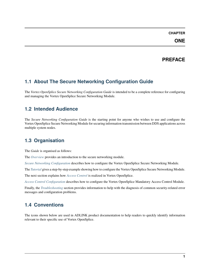#### **CHAPTER**

# **PREFACE**

# <span id="page-3-1"></span><span id="page-3-0"></span>**1.1 About The Secure Networking Configuration Guide**

The *Vortex OpenSplice Secure Networking Configuration Guide* is intended to be a complete reference for configuring and managing the Vortex OpenSplice Secure Networking Module.

# <span id="page-3-2"></span>**1.2 Intended Audience**

The *Secure Networking Configuration Guide* is the starting point for anyone who wishes to use and configure the Vortex OpenSplice Secure Networking Module for securing information transmission between DDS applications across multiple system nodes.

# <span id="page-3-3"></span>**1.3 Organisation**

The *Guide* is organised as follows:

The *[Overview](#page-5-0)* provides an introduction to the secure networking module.

*[Secure Networking Configuration](#page-7-0)* describes how to configure the Vortex OpenSplice Secure Networking Module.

The *[Tutorial](#page-17-0)* gives a step-by-step example showing how to configure the Vortex OpenSplice Secure Networking Module.

The next section explains how *[Access Control](#page-25-0)* is realized in Vortex OpenSplice.

*[Access Control Configuration](#page-29-0)* describes how to configure the Vortex OpenSplice Mandatory Access Control Module.

Finally, the *[Troubleshooting](#page-37-0)* section provides information to help with the diagnosis of common security-related error messages and configuration problems.

# <span id="page-3-4"></span>**1.4 Conventions**

The icons shown below are used in ADLINK product documentation to help readers to quickly identify information relevant to their specific use of Vortex OpenSplice.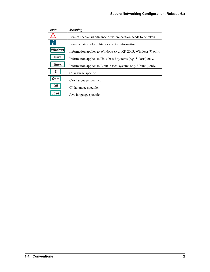| Icon             | Meaning                                                          |
|------------------|------------------------------------------------------------------|
| י י              | Item of special significance or where caution needs to be taken. |
| $\boldsymbol{i}$ | Item contains helpful hint or special information.               |
| <b>Windows</b>   | Information applies to Windows (e.g. XP, 2003, Windows 7) only.  |
| Unix             | Information applies to Unix-based systems (e.g. Solaris) only.   |
| Linux            | Information applies to Linux-based systems $(e.g.$ Ubuntu) only. |
|                  | C language specific.                                             |
| $C++$            | $C++$ language specific.                                         |
| C#               | C# language specific.                                            |
| Java             | Java language specific.                                          |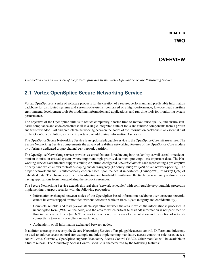#### **CHAPTER**

# **OVERVIEW**

<span id="page-5-0"></span>*This section gives an overview of the features provided by the Vortex OpenSplice Secure Networking Service.*

# <span id="page-5-1"></span>**2.1 Vortex OpenSplice Secure Networking Service**

Vortex OpenSplice is a suite of software products for the creation of a secure, performant, and predictable information backbone for distributed systems and systems-of-systems, comprised of a high-performance, low-overhead run-time environment, development tools for modelling information and applications, and run-time tools for monitoring system performance.

The objective of the OpenSplice suite is to reduce complexity, shorten time-to-market, raise quality, and ensure standards compliance and code correctness; all in a single integrated suite of tools and runtime components from a proven and trusted vendor. Fast and predictable networking between the nodes of the information backbone is an essential part of the OpenSplice solution, as is the importance of addressing Information Assurance.

The OpenSplice Secure Networking Service is an optional pluggable service to the OpenSplice Core infrastructure. The Secure Networking Service complements the advanced real-time networking features of the OpenSplice Core module by offering a dedicated crypto-channel *per* network partition.

The OpenSplice Networking service provides essential features for achieving both scalability as well as real-time determinism in mission-critical systems where important high-priority data must 'pre-empt' less-important data. The Networking service's architecture supports multiple runtime-configured *network channels* each representing a pre-emptive priority band which allows for traffic-shaping and data-urgency (Latency-Budget QoS) driven network-packing. The proper network channel is automatically chosen based upon the actual importance (Transport\_Priority QoS) of published data. The channel-specific traffic-shaping and bandwidth limitation effectively prevent faulty and/or misbehaving applications from monopolizing the network resources.

The Secure Networking Service extends this real-time 'network scheduler' with configurable cryptographic protection implementing transport security with the following properties:

- Information exchanged between nodes of the OpenSplice-based information backbone over unsecure networks cannot be eavesdropped or modified without detection while in transit (data integrity and confidentiality).
- Complete, reliable, and readily-evaluatable separation between the area in which the information is processed in unencrypted form (*RED*, on the node) and the area to which critical (classified) information is not permitted to flow in unencrypted form (*BLACK*, network), is achieved by means of concentration and restriction of network connectivity to exactly one client on each node.
- Authenticity of all information exchanged between nodes.

In addition to transport security, the Secure Networking Service offers pluggable access control. Different modules may be used to enforce access control (for example modules implementing mandatory access control or role-based access control, *etc.*). Currently, OpenSplice supports Mandatory Access Control (MAC). Other modules will be available in a future release. The Mandatory Access Control Module is characterized by the following features: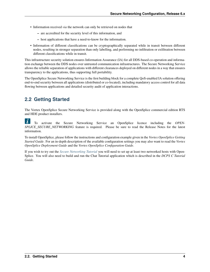- Information received *via* the network can only be retrieved on nodes that
	- **–** are accredited for the security level of this information, and
	- **–** host applications that have a need-to-know for the information.
- Information of different classifications can be cryptographically separated while in transit between different nodes, resulting in stronger separation than only labelling, and performing no infiltration or exfiltration between different classifications while in transit.

This infrastructure security solution ensures Information Assurance (IA) for all DDS-based co-operation and information exchange between the DDS nodes over untrusted communication infrastructures. The Secure Networking Service allows the reliable separation of applications with different clearances deployed on different nodes in a way that ensures transparency to the applications, thus supporting full portability.

The OpenSplice Secure Networking Service is the first building block for a complete QoS-enabled IA solution offering end-to-end security between all applications (distributed or co-located), including mandatory access control for all data flowing between applications and detailed security audit of application interactions.

# <span id="page-6-0"></span>**2.2 Getting Started**

The Vortex OpenSplice Secure Networking Service is provided along with the OpenSplice commercial edition RTS and HDE product installers.

 $\tilde{L}$ To activate the Secure Networking Service an OpenSplice licence including the *OPEN-SPLICE\_SECURE\_NETWORKING* feature is required. Please be sure to read the Release Notes for the latest information.

To install OpenSplice, please follow the instructions and configuration example given in the *Vortex OpenSplice Getting Started Guide*. For an in-depth description of the available configuration settings you may also want to read the *Vortex OpenSplice Deployment Guide* and the *Vortex OpenSplice Configuration Guide*.

If you wish to try out the *[Secure Networking Tutorial](#page-17-0)* you will need to set up at least two networked hosts with Open-Splice. You will also need to build and run the Chat Tutorial application which is described in the *DCPS C Tutorial Guide*.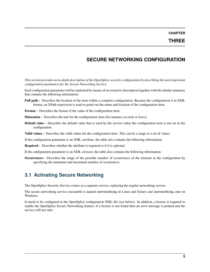**CHAPTER**

# **SECURE NETWORKING CONFIGURATION**

<span id="page-7-0"></span>*This section provides an in-depth description of the OpenSplice security configuration by describing the most important configuration parameters for the Secure Networking Service.*

Each configuration parameter will be explained by means of an extensive description together with the tabular summary that contains the following information:

- **Full path -** Describes the location of the item within a complete configuration. Because the configuration is in XML format, an XPath expression is used to point out the name and location of the configuration item.
- **Format -** Describes the format of the value of the configuration item.
- **Dimension -** Describes the unit for the configuration item (for instance *seconds* or *bytes*).
- **Default value -** Describes the default value that is used by the service when the configuration item is not set in the configuration.
- **Valid values -** Describes the valid values for the configuration item. This can be a range or a set of values.

If the configuration parameter is an XML *attribute*, the table also contains the following information:

**Required -** Describes whether the attribute is required or if it is optional.

If the configuration parameter is an XML *element*, the table also contains the following information:

**Occurrences -** Describes the range of the possible number of occurrences of the element in the configuration by specifying the minimum and maximum number of occurrences.

### <span id="page-7-1"></span>**3.1 Activating Secure Networking**

The OpenSplice Security Service comes as a separate service, replacing the regular networking service.

The secure networking service executable is named snetworking on Linux and Solaris and snetworking.exe on Windows.

It needs to be configured in the OpenSplice configuration XML file (see below). In addition, a license is required to enable the OpenSplice Secure Networking feature; if a license is not found then an error message is printed and the service will not start.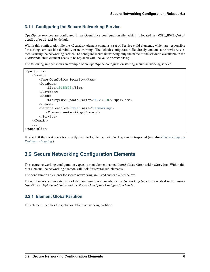#### <span id="page-8-0"></span>**3.1.1 Configuring the Secure Networking Service**

OpenSplice services are configured in an OpenSplice configuration file, which is located in <OSPL\_HOME>/etc/ configs/ospl.xml by default.

Within this configuration file the <Domain> element contains a set of Service child elements, which are responsible for starting services like durability or networking. The default configuration file already contains a <Service> element starting the networking service. To configure secure networking only the name of the service's executable in the <Command> child element needs to be replaced with the value snetworking.

The following snippet shows an example of an OpenSplice configuration starting secure networking service:

```
<OpenSplice>
    <Domain>
        <Name>OpenSplice Security</Name>
        <Database>
            <Size>10485670</Size>
        </Database>
        <Lease>
            <ExpiryTime update_factor="0.5">5.0</ExpiryTime>
        </Lease>
        <Service enabled="true" name="networking">
            <Command>snetworking</Command>
        </Service>
    </Domain>
    ...
</OpenSplice>
```
To check if the service starts correctly the info logfile ospl-info.log can be inspected (see also *[How to Diagnose](#page-37-2) [Problems - Logging](#page-37-2)* ).

### <span id="page-8-1"></span>**3.2 Secure Networking Configuration Elements**

The secure networking configuration expects a root element named OpenSplice/NetworkingService. Within this root element, the networking daemon will look for several sub-elements.

The configuration elements for secure networking are listed and explained below.

These elements are an extension of the configuration elements for the Networking Service described in the *Vortex OpenSplice Deployment Guide* and the *Vortex OpenSplice Configuration Guide*.

#### <span id="page-8-2"></span>**3.2.1 Element GlobalPartition**

This element specifies the global or default networking partition.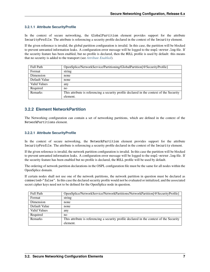#### <span id="page-9-0"></span>**3.2.1.1 Attribute SecurityProfile**

In the context of secure networking, the GlobalPartition element provides support for the attribute SecurityProfile. The attribute is referencing a security profile declared in the context of the Security element.

If the given reference is invalid, the global partition configuration is invalid. In this case, the partition will be blocked to prevent unwanted information leaks. A configuration error message will be logged to the ospl-error.log file. If the security feature has been enabled, but no profile is declared, then the NULL profile is used by default: this means that no security is added to the transport (see *[Attribute Enabled](#page-10-1)*).

| <b>Full Path</b>    | OpenSplice/NetworkService/Partitioning/GlobalPartition[@SecurityProfile]                 |
|---------------------|------------------------------------------------------------------------------------------|
| Format              | string                                                                                   |
| Dimension           | none                                                                                     |
| Default Value       | none                                                                                     |
| <b>Valid Values</b> | any                                                                                      |
| Required            | no                                                                                       |
| Remarks             | This attribute is referencing a security profile declared in the context of the Security |
|                     | element.                                                                                 |

#### <span id="page-9-1"></span>**3.2.2 Element NetworkPartition**

The Networking configuration can contain a set of networking partitions, which are defined in the context of the NetworkPartitions element.

#### <span id="page-9-2"></span>**3.2.2.1 Attribute SecurityProfile**

In the context of secure networking, the NetworkPartition element provides support for the attribute SecurityProfile. The attribute is referencing a security profile declared in the context of the Security element.

If the given reference is invalid, the network partition configuration is invalid. In this case the partition will be blocked to prevent unwanted information leaks. A configuration error message will be logged to the ospl-error.log file. If the security feature has been enabled but no profile is declared, the NULL profile will be used by default.

The ordering of network partition declarations in the OSPL configuration file must be the same for all nodes within the OpenSplice domain.

If certain nodes shall not use one of the network partitions, the network partition in question must be declared as connected="false". In this case the declared security profile would not be evaluated or initialized, and the associated secret cipher keys need not to be defined for the OpenSplice node in question.

| <b>Full Path</b>    | OpenSplice/NetworkService/NetworkPartitions/NetworkPartition[@SecurityProfile]           |
|---------------------|------------------------------------------------------------------------------------------|
| Format              | string                                                                                   |
| Dimension           | none                                                                                     |
| Default Value       | none                                                                                     |
| <b>Valid Values</b> | any                                                                                      |
| Required            | no.                                                                                      |
| <b>Remarks</b>      | This attribute is referencing a security profile declared in the context of the Security |
|                     | element.                                                                                 |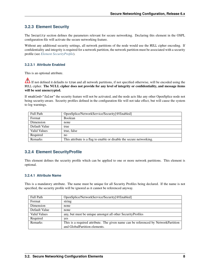### <span id="page-10-0"></span>**3.2.3 Element Security**

The Security section defines the parameters relevant for secure networking. Declaring this element in the OSPL configuration file will activate the secure networking feature.

Without any additional security settings, all network partitions of the node would use the NULL cipher encoding. If confidentiality and integrity is required for a network partition, the network partition must be associated with a security profile (see *[Element SecurityProfile](#page-10-2)*).

#### <span id="page-10-1"></span>**3.2.3.1 Attribute Enabled**

This is an optional attribute.

If not defined it defaults to true and all network partitions, if not specified otherwise, will be encoded using the NULL cipher. **The NULL cipher does not provide for any level of integrity or confidentiality, and message items will be sent unencrypted.**

If enabled="false" the security feature will not be activated, and the node acts like any other OpenSplice node not being security-aware. Security profiles defined in the configuration file will not take effect, but will cause the system to log warnings.

| <b>Full Path</b> | OpenSplice/NetworkService/Security[@Enabled]                         |
|------------------|----------------------------------------------------------------------|
| Format           | <b>Boolean</b>                                                       |
| Dimension        | none                                                                 |
| Default Value    | true                                                                 |
| Valid Values     | true, false                                                          |
| Required         | no                                                                   |
| <b>Remarks</b>   | This attribute is a flag to enable or disable the secure networking. |

#### <span id="page-10-2"></span>**3.2.4 Element SecurityProfile**

This element defines the security profile which can be applied to one or more network partitions. This element is optional.

#### <span id="page-10-3"></span>**3.2.4.1 Attribute Name**

This is a mandatory attribute. The name must be unique for all Security Profiles being declared. If the name is not specified, the security profile will be ignored as it cannot be referenced anyway.

| Full Path           | OpenSplice/NetworkService/Security[@Enabled]                                       |
|---------------------|------------------------------------------------------------------------------------|
| Format              | string                                                                             |
| Dimension           | none                                                                               |
| Default Value       | none                                                                               |
| <b>Valid Values</b> | any, but must be unique amongst all other Security Profiles                        |
| Required            | yes                                                                                |
| <b>Remarks</b>      | This is a required attribute. The given name can be referenced by NetworkPartition |
|                     | and GlobalPartition elements.                                                      |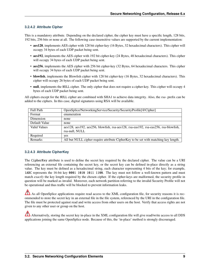#### <span id="page-11-0"></span>**3.2.4.2 Attribute Cipher**

This is a mandatory attribute. Depending on the declared cipher, the cipher key must have a specific length, 128 bits, 192 bits, 256 bits or none at all. The following case-insensitive values are supported by the current implementation:

- **aes128**, implements AES cipher with 128 bit cipher-key (16 Bytes, 32 hexadecimal characters). This cipher will occupy 34 bytes of each UDP packet being sent.
- **aes192**, implements the AES cipher with 192 bit cipher-key (24 Bytes, 48 hexadecimal characters). This cipher will occupy 34 bytes of each UDP packet being sent.
- **aes256**, implements the AES cipher with 256 bit cipher-key (32 Bytes, 64 hexadecimal characters. This cipher will occupy 34 bytes of each UDP packet being sent.
- **blowfish**, implements the Blowfish cipher with 128 bit cipher-key (16 Bytes, 32 hexadecimal characters). This cipher will occupy 26 bytes of each UDP packet being sent.
- **null**, implements the NULL cipher. The only cipher that does not require a cipher-key. This cipher will occupy 4 bytes of each UDP packet being sent.

All ciphers except for the NULL cipher are combined with SHA1 to achieve data integrity. Also, the *rsa-* prefix can be added to the ciphers. In this case, digital signatures using RSA will be available.

| <b>Full Path</b>    | OpenSplice/NetworkingService/Security/SecurityProfile[@Cipher]                      |
|---------------------|-------------------------------------------------------------------------------------|
| Format              | enumeration                                                                         |
| Dimension           | none                                                                                |
| Default Value       | none                                                                                |
| <b>Valid Values</b> | aes128, aes192, aes256, blowfish, rsa-aes128, rsa-eas192, rsa-eas256, rsa-blowfish, |
|                     | rsa-null, NULL                                                                      |
| Required            | yes                                                                                 |
| <b>Remarks</b>      | All but NULL cipher require attribute CipherKey to be set with matching key length. |

#### <span id="page-11-1"></span>**3.2.4.3 Attribute CipherKey**

The CipherKey attribute is used to define the secret key required by the declared cipher. The value can be a URI referencing an external file containing the secret key, or the secret key can be defined in-place directly as a string value. The key must be defined as a hexadecimal string, each character representing 4 bits of the key; for example, 1ABC represents the 16-bit key 0001 1010 1011 1100. The key must not follow a well-known pattern and must match *exactly* the key length required by the chosen cipher. If the cipher-keys are malformed, the security profile in question will be marked as invalid. Moreover, each network partition referring to the invalid Security Profile will not be operational and thus traffic will be blocked to prevent information leaks.

As all OpenSplice applications require read access to the XML configuration file, for security reasons it is recommended to store the secret key in an external file in the file system, referenced by the URI in the configuration file. The file must be protected against read and write access from other users on the host. Verify that access rights are not given to any other user or group on the host.

Alternatively, storing the secret key in-place in the XML configuration file will give read/write access to all DDS applications joining the same OpenSplice node. Because of this, the 'in-place' method is strongly discouraged.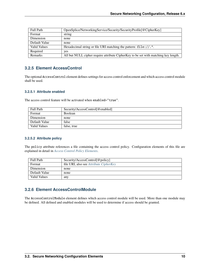| <b>Full Path</b>    | OpenSplice/NetworkingService/Security/SecurityProfile[@CipherKey]                   |
|---------------------|-------------------------------------------------------------------------------------|
| Format              | string                                                                              |
| Dimension           | none                                                                                |
| Default Value       | none                                                                                |
| <b>Valid Values</b> | Hexadecimal string or file URI matching the pattern: $file://.*.$                   |
| Required            | ves                                                                                 |
| Remarks             | All but NULL cipher require attribute CipherKey to be set with matching key length. |

#### <span id="page-12-0"></span>**3.2.5 Element AccessControl**

The optional AccessControl element defines settings for access control enforcement and which access control module shall be used.

#### <span id="page-12-1"></span>**3.2.5.1 Attribute enabled**

The access control feature will be activated when enabled="true".

| <b>Full Path</b> | Security/AccessControl[@enabled] |
|------------------|----------------------------------|
| Format           | <b>Boolean</b>                   |
| Dimension        | none                             |
| Default Value    | false                            |
| Valid Values     | false, true                      |

#### <span id="page-12-2"></span>**3.2.5.2 Attribute policy**

The policy attribute references a file containing the access control policy. Configuration elements of this file are explained in detail in *[Access Control Policy Elements](#page-29-1)*.

| <b>Full Path</b>    | Security/AccessControl[@policy]               |
|---------------------|-----------------------------------------------|
| Format              | file URI, also see <i>Attribute CipherKey</i> |
| Dimension           | none                                          |
| Default Value       | none                                          |
| <b>Valid Values</b> | any                                           |

### <span id="page-12-3"></span>**3.2.6 Element AccessControlModule**

The AccessControlModule element defines which access control module will be used. More than one module may be defined. All defined and enabled modules will be used to determine if access should be granted.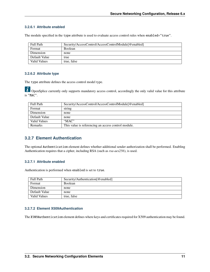#### <span id="page-13-0"></span>**3.2.6.1 Attribute enabled**

The module specified in the type attribute is used to evaluate access control rules when enabled="true".

| Full Path     | Security/AccessControl/AccessControlModule[@enabled] |
|---------------|------------------------------------------------------|
| Format        | <b>Boolean</b>                                       |
| Dimension     | none                                                 |
| Default Value | true                                                 |
| Valid Values  | true, false                                          |

#### <span id="page-13-1"></span>**3.2.6.2 Attribute type**

The type attribute defines the access control model type.

 $\dot{U}$  OpenSplice currently only supports mandatory access control, accordingly the only valid value for this attribute is "MAC".

| <b>Full Path</b> | Security/AccessControl/AccessControlModule[@enabled] |
|------------------|------------------------------------------------------|
| Format           | string                                               |
| Dimension        | none                                                 |
| Default Value    | none                                                 |
| Valid Values     | "MAC"                                                |
| <b>Remarks</b>   | This value is referencing an access control module.  |

#### <span id="page-13-2"></span>**3.2.7 Element Authentication**

The optional Authentication element defines whether additional sender authorization shall be performed. Enabling Authentication requires that a cipher, including RSA (such as *rsa-aes256*), is used.

#### <span id="page-13-3"></span>**3.2.7.1 Attribute enabled**

Authentication is performed when enabled is set to true.

| <b>Full Path</b> | Security/Authentication[@enabled] |
|------------------|-----------------------------------|
| Format           | <b>Boolean</b>                    |
| Dimension        | none                              |
| Default Value    | none                              |
| Valid Values     | true, false                       |

#### <span id="page-13-4"></span>**3.2.7.2 Element X509Authentication**

The X509Authentication element defines where keys and certificates required for X509 authentication may be found.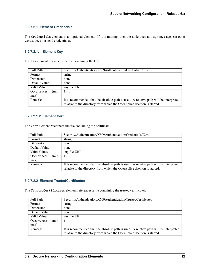#### <span id="page-14-0"></span>**3.2.7.2.1 Element Credentials**

The Credentials element is an optional element. If it is missing, then the node does not sign messages (in other words, does not send credentials).

#### <span id="page-14-1"></span>**3.2.7.2.1.1 Element Key**

The Key element references the file containing the key.

| <b>Full Path</b>              | Security/Authentication/X509Authentication/Credentials/Key                            |
|-------------------------------|---------------------------------------------------------------------------------------|
| Format                        | string                                                                                |
| Dimension                     | none                                                                                  |
| Default Value                 | none                                                                                  |
| Valid Values                  | any file URI                                                                          |
| $(min-$<br><b>Occurrences</b> | $1 - 1$                                                                               |
| max)                          |                                                                                       |
| <b>Remarks</b>                | It is recommended that the absolute path is used. A relative path will be interpreted |
|                               | relative to the directory from which the OpenSplice daemon is started.                |

#### <span id="page-14-2"></span>**3.2.7.2.1.2 Element Cert**

The Cert element references the file containing the certificate.

| <b>Full Path</b>              | Security/Authentication/X509Authentication/Credentials/Cert                           |
|-------------------------------|---------------------------------------------------------------------------------------|
| Format                        | string                                                                                |
| Dimension                     | none                                                                                  |
| Default Value                 | none                                                                                  |
| <b>Valid Values</b>           | any file URI                                                                          |
| <b>Occurrences</b><br>$(min-$ | $1 - 1$                                                                               |
| max)                          |                                                                                       |
| Remarks                       | It is recommended that the absolute path is used. A relative path will be interpreted |
|                               | relative to the directory from which the OpenSplice daemon is started.                |

#### <span id="page-14-3"></span>**3.2.7.2.2 Element TrustedCertificates**

The TrustedCertificates element references a file containing the trusted certificates.

| <b>Full Path</b>              | Security/Authentication/X509Authentication/TrustedCertificates                        |
|-------------------------------|---------------------------------------------------------------------------------------|
| Format                        | string                                                                                |
| Dimension                     | none                                                                                  |
| Default Value                 | none                                                                                  |
| <b>Valid Values</b>           | any file URI                                                                          |
| <b>Occurrences</b><br>$(min-$ | $1 - 1$                                                                               |
| max)                          |                                                                                       |
| <b>Remarks</b>                | It is recommended that the absolute path is used. A relative path will be interpreted |
|                               | relative to the directory from which the OpenSplice daemon is started.                |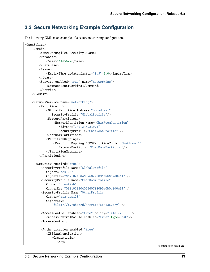# <span id="page-15-0"></span>**3.3 Secure Networking Example Configuration**

The following XML is an example of a secure networking configuration.

```
<OpenSplice>
   <Domain>
       <Name>OpenSplice Security</Name>
       <Database>
            <Size>10485670</Size>
       </Database>
       <Lease>
            <ExpiryTime update_factor="0.5">5.0</ExpiryTime>
       </Lease>
       <Service enabled="true" name="networking">
            <Command>snetworking</Command>
       </Service>
   </Domain>
   <NetworkService name="networking">
       <Partitioning>
            <GlobalPartition Address="broadcast"
               SecurityProfile="GlobalProfile"/>
            <NetworkPartitions>
                <NetworkPartition Name="ChatRoomPartition"
                   Address="230.230.230.1"
                   SecurityProfile="ChatRoomProfile" />
            </NetworkPartitions>
            <PartitionMappings>
                <PartitionMapping DCPSPartitionTopic="ChatRoom.*"
                   NetworkPartition="ChatRoomPartition"/>
            </PartitionMappings>
       </Partitioning>
     <Security enabled="true">
        <SecurityProfile Name="GlobalProfile"
            Cipher="aes128"
            CipherKey="000102030405060708090a0b0c0d0e0f" />
        <SecurityProfile Name="ChatRoomProfile"
            Cipher="blowfish"
            CipherKey="000102030405060708090a0b0c0d0e0f" />
        <SecurityProfile Name="OtherProfile"
            Cipher="rsa-aes128"
            CipherKey=
               "file:///my/shared/secrets/aes128.key" />
        <AccessControl enabled="true" policy="file://.....">
            <AccessControlModule enabled="true" type="MAC"/>
        <AccessControl/>
        <Authentication enabled="true">
            <X509Authentication>
               <Credentials>
                  <Key>
```
(continues on next page)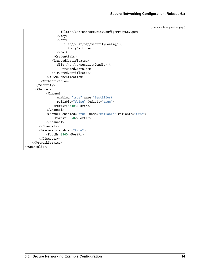(continued from previous page)

```
file:///usr/osp/securityConfig/ProxyKey.pem
                  \langleKey><Cert>
                     file:///usr/osp/securityConfig/ \
                        ProxyCert.pem
                  \langle /Cert\rangle</Credentials>
               <TrustedCertificates>
                  file://../../securityConfig/ \
                     trustedCerts.pem
               </TrustedCertificates>
            </X509Authentication>
         <Authentication>
      </Security>
      <Channels>
            <Channel
                  enabled="true" name="BestEffort"
                  reliable="false" default="true">
                <PortNr>3340</PortNr>
            </Channel>
            <Channel enabled="true" name="Reliable" reliable="true">
                <PortNr>3350</PortNr>
            </Channel>
        </Channels>
        <Discovery enabled="true">
            <PortNr>3360</PortNr>
        </Discovery>
   </NetworkService>
</OpenSplice>
```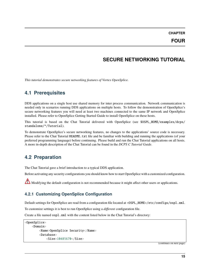**CHAPTER**

# **SECURE NETWORKING TUTORIAL**

<span id="page-17-0"></span>*This tutorial demonstrates secure networking features of Vortex OpenSplice.*

# <span id="page-17-1"></span>**4.1 Prerequisites**

DDS applications on a single host use shared memory for inter process communication. Network communication is needed only in scenarios running DDS applications on multiple hosts. To follow the demonstration of OpenSplice's secure networking features you will need at least two machines connected to the same IP network and OpenSplice installed. Please refer to OpenSplice Getting Started Guide to install OpenSplice on these hosts.

This tutorial is based on the Chat Tutorial delivered with OpenSplice (see \$OSPL\_HOME/examples/dcps/ standalone/\*/Tutorial).

To demonstrate OpenSplice's secure networking features, no changes to the applications' source code is necessary. Please refer to the Chat Tutorial README.txt file and be familiar with building and running the applications (of your preferred programming language) before continuing. Please build and run the Chat Tutorial applications on all hosts. A more in-depth description of the Chat Tutorial can be found in the *DCPS C Tutorial Guide*.

# <span id="page-17-2"></span>**4.2 Preparation**

The Chat Tutorial gave a brief introduction to a typical DDS application.

Before activating any security configurations you should know how to start OpenSplice with a customized configuration.

Modifying the default configuration is not recommended because it might affect other users or applications.

# <span id="page-17-3"></span>**4.2.1 Customizing OpenSplice Configuration**

Default settings for OpenSplice are read from a configuration file located at <OSPL\_HOME>/etc/configs/ospl.xml.

To customize settings it is best to run OpenSplice using a *different* configuration file.

Create a file named ospl.xml with the content listed below in the Chat Tutorial's directory:

```
<OpenSplice>
    <Domain>
        <Name>OpenSplice Security</Name>
        <Database>
            <Size>10485670</Size>
```
(continues on next page)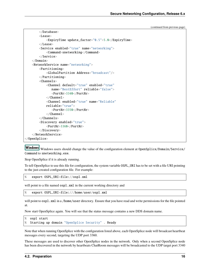```
(continued from previous page)
```

```
</Database>
        <Lease>
            <ExpiryTime update_factor="0.5">5.0</ExpiryTime>
        </Lease>
        <Service enabled="true" name="networking">
            <Command>snetworking</Command>
        </Service>
   </Domain>
   <NetworkService name="networking">
        <Partitioning>
            <GlobalPartition Address="broadcast"/>
        </Partitioning>
        <Channels>
            <Channel default="true" enabled="true"
               name="BestEffort" reliable="false">
               <PortNr>3340</PortNr>
            </Channel>
            <Channel enabled="true" name="Reliable"
            reliable="true">
               <PortNr>3350</PortNr>
            </Channel>
        </Channels>
        <Discovery enabled="true">
            <PortNr>3360</PortNr>
        </Discovery>
    </NetworkService>
</OpenSplice>
```
Windows Windows users should change the value of the configuration element at OpenSplice/Domain/Service/ Command to snetworking.exe.

Stop OpenSplice if it is already running.

To tell OpenSplice to use this file for configuration, the system variable OSPL\_URI has to be set with a file URI pointing to the just-created configuration file. For example:

% export OSPL\_URI=file://ospl.xml

will point to a file named  $osp1$ . xml in the current working directory and

% export OSPL\_URI=file:///home/user/ospl.xml

will point to  $osp1$ . xml in a /home/user directory. Ensure that you have read and write permissions for the file pointed at.

Now start OpenSplice again. You will see that the status message contains a new DDS domain name.

```
% ospl start
% Starting up domain "OpenSplice Security" . Ready
```
Note that when running OpenSplice with the configuration listed above, each OpenSplice node will broadcast heartbeat messages every second, targeting the UDP port 3360.

These messages are used to discover other OpenSplice nodes in the network. Only when a second OpenSplice node has been discovered in the network by heartbeats ChatRoom messages will be broadcasted to the UDP target port 3340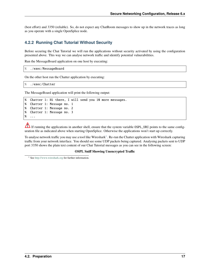(best effort) and 3350 (reliable). So, do not expect any ChatRoom messages to show up in the network traces as long as you operate with a single OpenSplice node.

#### <span id="page-19-0"></span>**4.2.2 Running Chat Tutorial Without Security**

Before securing the Chat Tutorial we will run the applications without security activated by using the configuration presented above. This way we can analyse network traffic and identify potential vulnerabilities.

Run the MessageBoard application on one host by executing:

```
% ./exec/MessageBoard
```
On the other host run the Chatter application by executing:

```
% ./exec/Chatter
```
The MessageBoard application will print the following output:

```
% Chatter 1: Hi there, I will send you 10 more messages.
% Chatter 1: Message no. 1
% Chatter 1: Message no. 2
% Chatter 1: Message no. 3
% ...
```
If running the applications in another shell, ensure that the system variable OSPL\_URI points to the same configuration file as indicated above when starting OpenSplice. Otherwise the applications won't start up correctly.

To analyse network traffic you may use a tool like Wireshark $^1$  $^1$ . Re-run the Chatter application with Wireshark capturing traffic from your network interface. You should see some UDP packets being captured. Analysing packets sent to UDP port 3350 shows the plain text content of our Chat Tutorial messages as you can see in the following screen:

#### **OSPL Sniff Showing Unencrypted Traffic**

<span id="page-19-2"></span><span id="page-19-1"></span><sup>1</sup> See <http://www.wireshark.org> for further information.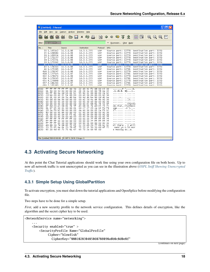| C (Untitled) - Ethereal                                                                                                                                                                                                                                                                                                                                                                                                                                                                                                                                                                                                                                                                                                                                                          |                                                                                                                                                                                                                                                                                                                                                                                                                                                                                                                                                                                                                                                                                                                                                                                                                                                                                                                                                                                                                                                                                                                                 | limili |
|----------------------------------------------------------------------------------------------------------------------------------------------------------------------------------------------------------------------------------------------------------------------------------------------------------------------------------------------------------------------------------------------------------------------------------------------------------------------------------------------------------------------------------------------------------------------------------------------------------------------------------------------------------------------------------------------------------------------------------------------------------------------------------|---------------------------------------------------------------------------------------------------------------------------------------------------------------------------------------------------------------------------------------------------------------------------------------------------------------------------------------------------------------------------------------------------------------------------------------------------------------------------------------------------------------------------------------------------------------------------------------------------------------------------------------------------------------------------------------------------------------------------------------------------------------------------------------------------------------------------------------------------------------------------------------------------------------------------------------------------------------------------------------------------------------------------------------------------------------------------------------------------------------------------------|--------|
| Analyze<br>File<br>Edit<br>Capture<br>View<br>Go                                                                                                                                                                                                                                                                                                                                                                                                                                                                                                                                                                                                                                                                                                                                 | Statistics<br>Help                                                                                                                                                                                                                                                                                                                                                                                                                                                                                                                                                                                                                                                                                                                                                                                                                                                                                                                                                                                                                                                                                                              |        |
| 目<br><b>P</b><br>Q.<br>pol.<br>a H<br><b>Kamp</b>                                                                                                                                                                                                                                                                                                                                                                                                                                                                                                                                                                                                                                                                                                                                | $\begin{array}{c} \Leftrightarrow \Leftrightarrow \Leftrightarrow \Leftrightarrow \\ \Leftrightarrow \Leftrightarrow \Leftrightarrow \Leftrightarrow \Leftrightarrow \Leftrightarrow \\ \Leftrightarrow \Leftrightarrow \Leftrightarrow \Leftrightarrow \Leftrightarrow \Leftrightarrow \\ \Leftrightarrow \Leftrightarrow \Leftrightarrow \Leftrightarrow \Leftrightarrow \Leftrightarrow \Leftrightarrow \\ \Leftrightarrow \Leftrightarrow \Leftrightarrow \Leftrightarrow \Leftrightarrow \Leftrightarrow \\ \Leftrightarrow \Leftrightarrow \Leftrightarrow \Leftrightarrow \Leftrightarrow \Leftrightarrow \\ \Leftrightarrow \Leftrightarrow \Leftrightarrow \Leftrightarrow \\ \Leftrightarrow \Leftrightarrow \$<br>$x \otimes \mathbf{B}$<br>$\mathbb{Q}$                                                                                                                                                                                                                                                                                                                                                             |        |
| $\vert$ udp.port == 3350<br>Filter:                                                                                                                                                                                                                                                                                                                                                                                                                                                                                                                                                                                                                                                                                                                                              | Expression Clear Apply<br>▼                                                                                                                                                                                                                                                                                                                                                                                                                                                                                                                                                                                                                                                                                                                                                                                                                                                                                                                                                                                                                                                                                                     |        |
| No. -<br>Source<br>Time                                                                                                                                                                                                                                                                                                                                                                                                                                                                                                                                                                                                                                                                                                                                                          | Protocol<br>Destination<br>Info                                                                                                                                                                                                                                                                                                                                                                                                                                                                                                                                                                                                                                                                                                                                                                                                                                                                                                                                                                                                                                                                                                 |        |
| 33 1.165342<br>10.3.0.88<br>35 1.168680<br>10.3.0.88<br>36 1.169524<br>10.3.0.88<br>37 1.171157<br>10.3.0.88<br>38 1.172251<br>10.3.0.88<br>39 1.173302<br>10.3.0.88<br>42 1.173970<br>10.3.0.88<br>43 1.174240<br>10.3.0.88<br>44 1.175385<br>10.3.0.87<br>606 2.176297<br>10.3.0.88<br>608 2.177545<br>10.3.0.87<br>632 3.178070<br>10.3.0.88<br>634 3.179265<br>10.3.0.87<br>655 4.179898<br>10.3.0.88<br>657 4.181200<br>10.3.0.87                                                                                                                                                                                                                                                                                                                                           | 10.3.0.255<br>Destination port: 3350<br><b>UDP</b><br>Source port: 32778<br>10.3.0.255<br>Destination port: 3350<br><b>UDP</b><br>Source port: 32778<br>10.3.0.255<br>UDP<br>Source port: 32778<br>Destination port: 3350<br>10.3.0.255<br><b>UDP</b><br>Source port: 32778<br>Destination port: 3350<br>10.3.0.255<br>UDP<br>Source port: 32778<br>Destination port: 3350<br>10.3.0.255<br>UDP<br>Source port: 32778<br>Destination port: 3350<br><b>UDP</b><br>10.3.0.255<br>Source port: 32778<br>Destination port: 3350<br>10.3.0.255<br>UDP<br>Source port: 32778<br>Destination port: 3350<br>Destination port: 3350<br>10.3.0.255<br><b>UDP</b><br>Source port: 32781<br>10.3.0.255<br>Destination port: 3350<br><b>UDP</b><br>Source port: 32778<br>10.3.0.255<br><b>UDP</b><br>Source port: 32781<br>Destination port: 3350<br>Destination port: 3350<br>10.3.0.255<br>UDP<br>Source port: 32778<br>10.3.0.255<br>Source port: 32781<br>Destination port: 3350<br><b>UDP</b><br>10.3.0.255<br>Source port: 32778<br>UDP<br>Destination port: 3350<br>10.3.0.255<br>UDP<br>Source port: 32781<br>Destination port: 3350 |        |
| 680 5 181683<br>$10.30$ $88$<br>0000<br>ff<br>ff ff ff<br>ff ff 00 50<br>l0010<br>01 30 00 3d 40 00 40 11<br>00 ff 80 0a 0d 16 01 1c<br>l0020<br>0030<br>cd b0 00 00 01 14 00 00<br>00 01 00 00 00 3e d0 be<br>l0040<br>90 Od<br>d0 be 90 0d 00 00<br>0050<br>00 00 00 00 00 00 00 00<br>0060<br>00 00 00 00 00 00 00 00<br>l0070<br>0080<br>6f 6d 00 43 68 61 74 5f<br>61 67 65 00 01 00 00 01<br>0090<br>28 2a f9 b5 80 00 00 00<br>00a0<br>l00b0<br>80 00 00 00 e6 00 00 00<br>01 00 00 00 00 05 f5 e1<br>00c0<br>00 00 00 00 00 00 00 00<br>l00d0<br>ff ff ff<br>7f ff ff ff 00<br>l00e0<br>ff ff ff 00 00 00 00 00<br>loofo<br>ff ff ff<br>0100<br>00 00 00 00 00<br>48 69 20 74 68 65 72 65<br>0110<br>20 73 65 6e 64 20 79 6f<br>0120<br>65 20 6d 65 73 73 61 67<br>l0130 | 10.30255<br><b>HDP</b><br>Source nort: 32778<br>Destination nort: 3350<br>d3 92 f2<br>08 00 45 00<br>22<br>$\overline{\cdots}$ . P<br>$\ldots$ . E.<br>24<br>24 0a 03 00 58 0a 03<br>$.0. = 0.0.$ \$\$ $\times$ .<br>95 60 02 00 00 00 2e b2<br>. <sub>.</sub><br>00 00 00 00 00 00 00 00<br>90 0d d0 be 90 0d d0 be<br>. >.<br>00 e2 5d 4a d4<br>9b 00 00<br>. . 13.<br>.<br>00 00 00 00 00 00 00 00<br>00 00 43 68 61 74 52 6f<br>ChatRo<br>43 68 61 74 4d 65 73 73<br>om.Chat_ ChatMess<br>00 47 27 29 ce 04 fd f8<br>age .G')<br>da 00 00 00 03 2a f9 b5<br>02 00 00 00 00 00 00 00<br>00 00 00 00 00 00 00 00<br>00 00 00 00 00 00 00 7f<br>00 00 00 7f ff ff ff 7f<br>00 00 00 7f ff ff ff 7f<br>00 00 01 00 00 00 00 01<br>$\cdots$<br>2c 20 49 20 77 69 6c 6c<br>Hi there , I will<br>75 20 31 30 20 6d 6f 72<br>send yo u 10 mor<br>65 73 2e 00 65 00<br>e messag ese.                                                                                                                                                                                                                                                 |        |
| File: (Untitled) 589 KB 00:00: P: 897 D: 38 M: 0 Drops: 0                                                                                                                                                                                                                                                                                                                                                                                                                                                                                                                                                                                                                                                                                                                        |                                                                                                                                                                                                                                                                                                                                                                                                                                                                                                                                                                                                                                                                                                                                                                                                                                                                                                                                                                                                                                                                                                                                 |        |

# <span id="page-20-0"></span>**4.3 Activating Secure Networking**

At this point the Chat Tutorial applications should work fine using your own configuration file on both hosts. Up to now all network traffic is sent unencrypted as you can see in the illustration above (*[OSPL Sniff Showing Unencrypted](#page-19-2) [Traffic](#page-19-2)*).

#### <span id="page-20-1"></span>**4.3.1 Simple Setup Using GlobalPartition**

To activate encryption, you must shut down the tutorial applications and OpenSplice before modifying the configuration file.

Two steps have to be done for a simple setup.

*First*, add a new security profile to the network service configuration. This defines details of encryption, like the algorithm and the secret cipher key to be used.

```
<NetworkService name="networking">
    ...
   <Security enabled="true" >
        <SecurityProfile Name="GlobalProfile"
             Cipher="blowfish"
               CipherKey="000102030405060708090a0b0c0d0e0f"
```
(continues on next page)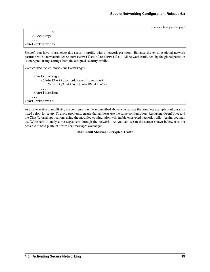(continued from previous page)

```
/>
    </Security>
    ...
</NetworkService>
```
*Second*, you have to associate this security profile with a network partition. Enhance the existing global network partition with a new attribute: SecurityProfile="GlobalProfile". All network traffic sent by the global partition is encrypted using settings from the assigned security profile.

```
<NetworkService name="networking">
     ...
     <Partitioning>
         <GlobalPartition Address="broadcast"
             SecurityProfile="GlobalProfile"/>
         ...
     <Partitioning>
    ...
</NetworkService>
```
As an alternative to modifying the configuration file as described above, you can use the complete example configuration listed below for setup. To avoid problems, ensure that all hosts use the same configuration. Restarting OpenSplice and the Chat Tutorial applications using the modified configuration will enable encrypted network traffic. Again, you may use Wireshark to analyse messages sent through the network. As you can see in the screen shown below, it is not possible to read plain text from chat messages exchanged.

#### **OSPL Sniff Showing Encrypted Traffic**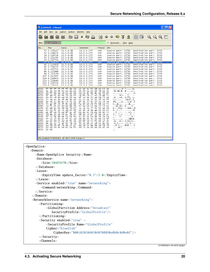|                           | $\Box$ $\Box$ $\times$<br>C (Untitled) - Ethereal                                                                                                                                                                             |
|---------------------------|-------------------------------------------------------------------------------------------------------------------------------------------------------------------------------------------------------------------------------|
|                           | Capture<br>Eile<br>Edit<br>View<br>G∘<br>Analyze<br>Statistics<br>Help                                                                                                                                                        |
|                           | $\bullet$ 7 $\&$ $\parallel$ $\qquad \qquad$ $\circ$ $\circ$ $\circ$ $\qquad$ $\qquad$<br>圖<br>$\mathbb{Q}$<br>쓰<br>$\mathbf{Q}$<br>⇔<br>$\Rightarrow$<br>×                                                                   |
|                           | Filter: $\vert$ udp.port == 3350<br>Expression Clear Apply                                                                                                                                                                    |
|                           | No. -<br>Time<br>Source<br>Destination<br>Protocol<br>Info                                                                                                                                                                    |
|                           | 10.3.0.88<br>52 2.105147<br>10.3.0.255<br>UDP<br>Destination port: 3350<br>Source port: 32782                                                                                                                                 |
|                           | 53 2.108371<br>10.3.0.88<br>10.3.0.255<br>UDP<br>Source port: 32782<br>Destination port: 3350<br>54 2.109734<br>Destination port: 3350<br>10.3.0.88<br>10.3.0.255<br>UDP<br>Source port: 32782                                |
|                           | 55 2.111295<br>10.3.0.88<br><b>UDP</b><br>Destination port: 3350<br>10.3.0.255<br>Source port: 32782<br>56 2.112731<br>10.3.0.88<br>10.3.0.255<br><b>UDP</b><br>Destination port: 3350<br>Source port: 32782                  |
|                           | 57 2.113159<br>10.3.0.88<br>10.3.0.255<br><b>UDP</b><br>Destination port:<br>Source port:<br>32782<br>3350<br>60 2.113828<br>10.3.0.88<br>10.3.0.255<br><b>UDP</b><br>Source port: 32782<br>Destination port: 3350            |
|                           | 61 2.114130<br>10.3.0.88<br>10.3.0.255<br>UDP<br>Source port: 32782<br>Destination port: 3350<br>62 2.115742<br>10.3.0.87<br>10.3.0.255<br><b>UDP</b><br>Source port: 32784<br>Destination port: 3350                         |
|                           | Source port: 32782<br>84 3.115888<br>10.3.0.88<br>10.3.0.255<br><b>UDP</b><br>Destination port: 3350<br>10.3.0.87<br><b>UDP</b><br>Destination port: 3350<br>86 3.117158<br>10.3.0.255<br>Source port: 32784                  |
|                           | 107 4.117697<br>10.3.0.88<br>10.3.0.255<br>UDP<br>Source port: 32782<br>Destination port: 3350<br>109 4.118946<br>10.3.0.87<br><b>UDP</b><br>Source port: 32784<br>Destination port: 3350<br>10.3.0.255                       |
|                           | 10.3.0.88<br><b>UDP</b><br>130 5.119489<br>10.3.0.255<br>Source port: 32782<br>Destination port: 3350<br>132 5.120729<br>10.3.0.87<br>10.3.0.255<br><b>UDP</b>                                                                |
|                           | Source port: 32784<br>Destination port: 3350<br>153 6 121321<br>10 3 0 255<br><b>HDP</b><br>Source nort: 32782<br>Destination nort: 3350<br><u> 10 3 0 88</u>                                                                 |
|                           | 22 d3 92 f2 08 00 45<br>". E.<br>ff ff ff ff ff ff 00 50<br>. P<br>0000<br>00<br>$.$ \$. h@.@. $\,$ \$ $\times$<br>0010<br>01<br>24<br>00 68 40<br>00 40<br>-11<br>24 05 0a 03<br>00 58 0a 03                                 |
|                           | 0020<br>00 ff 80 0e 0d<br>16 01 10<br>2d 14 83 83 8c e1 fd<br>4f<br>. - 0<br>0030<br>9f a8 91 dd b6 39<br>3a 63<br>c8 b6 7b<br>C7 a3 C9 84<br>f3<br>. 9:c  {.                                                                 |
|                           | 0040<br>90 45 c8 84<br>58 39 da<br>6f<br>-66<br>a6 18 75<br>.E×9. o.fsu.<br>ed.<br>C4<br>53<br>b9<br>0050<br>5c 7e ec d6 0f 8b 91 d3<br>15<br>-25<br>6e<br>5c cf 5d ff<br>-53<br>\~ .%ns\.].                                  |
|                           | 0060<br>34 39 2c<br>-84<br>8c c9 7a 31<br>ef 91 53<br>9c 57 20 c9<br>49,z1 s.w.{<br>-7b<br>0070<br>fa d2 10 26<br>55 a2 8f 26 Of 8c 14 80<br>f3<br>98 10 f3<br>U. . &. &.                                                     |
|                           | 0080<br>ce f2 61 45 ed 4e 6b 3b<br>62 ea 1b<br>9a<br>53 13 e3<br>aE.Nk; bS<br>13<br>0090<br>62 e8 8c b9 68 68 79 b7<br>77 52 93 ab 38<br>ca cb 4e<br>bhhy. NwR8                                                               |
|                           | 00a0<br>42 20 f1<br>54 c9<br>d8 97 9f<br>01 d6 c8 d0 ab 10 66 43<br>в .т fc<br>e1 bf 6a fb ad<br>00b0<br>8f a2 df<br>ba e9 93<br>2b 4a a6 83<br>C5<br>. . ] + J                                                               |
|                           | 29<br>bc 2b e7<br>d2<br>00c0<br>28 e9<br>11<br>0b<br>98.<br>c1 e7<br>37<br>d4<br>C4<br>аc<br>$( \ldots ) + \ldots 7 \ldots$<br>5f<br>CZ 94<br>88 9b<br>2a 14 90<br>9c e7<br>0a<br>19 9f<br>00d0<br>39.<br>2e 1e<br>_. *. 9. . |
|                           | 00e0<br>5f c3 a5<br>80 e4<br>f2 4c ad<br>18<br>d6 90<br>51 40 6b 23<br>-9f<br>_L. Q@k#.<br>00f0<br>ae 62 89 05 ed 34 f1 2b<br>49<br>8f 68<br>55 f2 44 a7 d3<br>.b4.+ I.hU.D                                                   |
|                           | 0100<br>e4 31 12 73 a6 dc 7e c9<br>f4 50 ae 2c 28 a3 e0 91<br>$.1.5 \sim P.$ , $($<br>1e f8 36 df 7b db c5 d7<br>4d 58 24 8a 99 cb f8 7b<br>0110<br>6.{ MX\${                                                                 |
|                           | 99 13 00 00 00 00 00 00<br>0120<br>00 00 00 00 6d 43 3a f3<br>. MC :<br>0130<br>00 00<br>$\cdot$ .                                                                                                                            |
|                           |                                                                                                                                                                                                                               |
|                           | File: (Untitled) 73 KB 00:00:1 P: 304 D: 29 M: 0 Drops: 0                                                                                                                                                                     |
| <opensplice></opensplice> |                                                                                                                                                                                                                               |
|                           | <domain></domain>                                                                                                                                                                                                             |
|                           |                                                                                                                                                                                                                               |
|                           |                                                                                                                                                                                                                               |
|                           | <name>OpenSplice Security</name><br><database></database>                                                                                                                                                                     |
|                           | $<$ Size>10485670                                                                                                                                                                                                             |
|                           |                                                                                                                                                                                                                               |
|                           | $<$ Lease $>$                                                                                                                                                                                                                 |
|                           | <expirytime update_factor="0.5">5.0</expirytime>                                                                                                                                                                              |
|                           |                                                                                                                                                                                                                               |
|                           | <service enabled="true" name="networking"></service>                                                                                                                                                                          |
|                           | <command/> networking                                                                                                                                                                                                         |
|                           | $\langle$ Service>                                                                                                                                                                                                            |
|                           | $\langle$ Domain>                                                                                                                                                                                                             |
|                           | <networkservice name="networking"></networkservice>                                                                                                                                                                           |
|                           | $<$ Partitioning>                                                                                                                                                                                                             |
|                           | <globalpartition <="" address="broadcast" td=""></globalpartition>                                                                                                                                                            |
|                           | SecurityProfile="GlobalProfile"/>                                                                                                                                                                                             |
|                           | $\langle$ Partitioning>                                                                                                                                                                                                       |
|                           | <security enabled="true"></security>                                                                                                                                                                                          |
|                           | <securityprofile <="" name="GlobalProfile" td=""></securityprofile>                                                                                                                                                           |
|                           | Cipher="blowfish"                                                                                                                                                                                                             |
|                           | CipherKey="000102030405060708090a0b0c0d0e0f"/><br>                                                                                                                                                                            |

(continues on next page)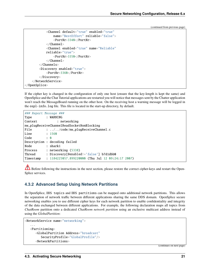(continued from previous page)

```
<Channel default="true" enabled="true"
                name="BestEffort" reliable="false">
                <PortNr>3340</PortNr>
            </Channel>
            <Channel enabled="true" name="Reliable"
            reliable="true">
                <PortNr>3350</PortNr>
            </Channel>
        </Channels>
        <Discovery enabled="true">
            <PortNr>3360</PortNr>
        </Discovery>
    </NetworkService>
</OpenSplice>
```
If the cipher key is changed in the configuration of only one host (ensure that the key-length is kept the same) and OpenSplice and the Chat Tutorial applications are restarted you will notice that messages sent by the Chatter application won't reach the MessageBoard running on the other host. On the receiving host a warning message will be logged in the ospl-info.log file. This file is located in the start-up directory, by default.

| ### Report Message ### |                                                             |
|------------------------|-------------------------------------------------------------|
| Type : WARNING         |                                                             |
| Context                | : networking                                                |
|                        | nw_pluqReceiveChannelReadSocketNonBlocking                  |
| File                   | $\ldots$ //code/nw_plugReceiveChannel.c                     |
| Line                   | : 1560                                                      |
| Code<br>$\cdot$ 0      |                                                             |
|                        | Description : decoding failed                               |
| Node                   | : shark1                                                    |
| Process                | : networking (5338)                                         |
|                        | Thread : Discovery[@enabled!='false'] b7d1dbb0              |
|                        | Timestamp : 1184225057.899220000 (Thu Jul 12 09:24:17 2007) |

Before following the instructions in the next section, please restore the correct cipher-keys and restart the Open-Splice services.

### <span id="page-23-0"></span>**4.3.2 Advanced Setup Using Network Partitions**

In OpenSplice, DDS topics and DDS partitions can be mapped onto additional network partitions. This allows the separation of network traffic between different applications sharing the same DDS domain. OpenSplice secure networking enables you to use different cipher keys for each network partition to enable confidentiality and integrity of the data exchanged between different applications. For example, the following declaration maps all topics from *ChatRoom* partition onto a dedicated *ChatRoom network partition* using an exclusive multicast address instead of using the *GlobalPartition*:

```
<NetworkService name="networking">
   ...
  <Partitioning>
      <GlobalPartition Address="broadcast"
         SecurityProfile="GlobalProfile"/>
      <NetworkPartitions>
```
(continues on next page)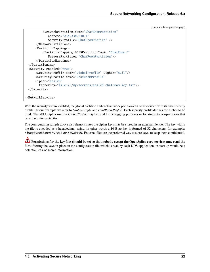```
(continued from previous page)
```

```
<NetworkPartition Name="ChatRoomPartition"
            Address="230.230.230.1"
            SecurityProfile="ChatRoomProfile" />
     </NetworkPartitions>
     <PartitionMappings>
         <PartitionMapping DCPSPartitionTopic="ChatRoom.*"
            NetworkPartition="ChatRoomPartition"/>
     </PartitionMappings>
 </Partitioning>
 <Security enabled="true">
     <SecurityProfile Name="GlobalProfile" Cipher="null"/>
     <SecurityProfile Name="ChatRoomProfile"
     Cipher="aes128"
       CipherKey="file:///my/secrets/aes128-chatroom-key.txt"/>
 </Security>
 ...
</NetworkService>
```
With the security feature enabled, the global partition and each network partition can be associated with its own security profile. In our example we refer to *GlobalProfile* and *ChatRoomProfile*. Each security profile defines the cipher to be used. The NULL cipher used in *GlobalProfile* may be used for debugging purposes or for single topics/partitions that do not require protection.

The configuration sample above also demonstrates the cipher keys may be stored in an external file too. The key within the file is encoded as a hexadecimal-string, in other words a 16-Byte key is formed of 32 characters, for example: 0f0e0d0c0b0a09080706050403020100. External files are the preferred way to store keys, to keep them confidential.

**Permissions for the key files should be set so that nobody except the OpenSplice core services may read the files.** Storing the keys in-place in the configuration file which is read by each DDS application on start up would be a potential leak of secret information.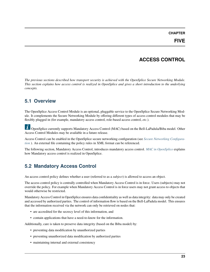#### **CHAPTER**

# **ACCESS CONTROL**

<span id="page-25-0"></span>*The previous sections described how transport security is achieved with the OpenSplice Secure Networking Module. This section explains how access control is realized in OpenSplice and gives a short introduction to the underlying concepts.*

# <span id="page-25-1"></span>**5.1 Overview**

The OpenSplice Access Control Module is an optional, pluggable service to the OpenSplice Secure Networking Module. It complements the Secure Networking Module by offering different types of access control modules that may be flexibly plugged in (for example, mandatory access control, role-based access control, *etc.*).

**U** OpenSplice currently supports Mandatory Access Control (MAC) based on the Bell-LaPadula/Biba model. Other Access Control Modules may be available in a future release.

Access Control can be enabled in the OpenSplice secure networking configuration (see *[Secure Networking Configura](#page-7-0)[tion](#page-7-0)* ). An external file containing the policy rules in XML format can be referenced.

The following section, Mandatory Access Control, introduces mandatory access control. *[MAC in OpenSplice](#page-27-3)* explains how Mandatory access control is realized in OpenSplice.

# <span id="page-25-2"></span>**5.2 Mandatory Access Control**

An access control policy defines whether a user (referred to as a *subject*) is allowed to access an object.

The access control policy is centrally controlled when Mandatory Access Control is in force. Users (subjects) may not override the policy. For example when Mandatory Access Control is in force users may not grant access to objects that would otherwise be restricted.

Mandatory Access Control in OpenSplice ensures data confidentiality as well as data integrity: data may only be created and accessed by authorized parties. The control of information flow is based on the Bell-LaPadula model. This ensures that the information received via the network can only be retrieved on nodes that:

- are accredited for the secrecy level of this information, and
- contain applications that have a need-to-know for the information.

Additionally, care is taken to preserve data integrity (based on the Biba model) by:

- preventing data modification by unauthorized parties
- preventing unauthorized data modification by authorized parties
- maintaining internal and external consistency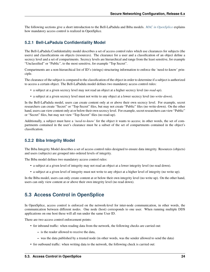The following sections give a short introduction to the Bell-LaPadula and Biba models. *[MAC in OpenSplice](#page-27-3)* explains how mandatory access control is realized in OpenSplice.

#### <span id="page-26-0"></span>**5.2.1 Bell-LaPadula Confidentiality Model**

The Bell-LaPadula Confidentiality model describes a set of access control rules which use clearances for subjects (the users) and classifications on objects (resources). The clearance for a user and a classification of an object define a secrecy level and a set of compartments. Secrecy levels are hierarchical and range from the least sensitive, for example "Unclassified" or "Public", to the most sensitive, for example "Top Secret".

Compartments are a non-hierarchical list of ID's (strings) structuring information to enforce the 'need-to-know' principle.

The clearance of the subject is compared to the classification of the object in order to determine if a subject is authorized to access a certain object. The Bell-LaPadula model defines two mandatory access control rules:

- a subject at a given secrecy level may not read an object at a higher secrecy level (no *read-up*).
- a subject at a given secrecy level must not write to any object at a lower secrecy level (no *write-down*).

In the Bell-LaPadula model, users can create content only at or above their own secrecy level. For example, secret researchers can create "Secret" or "Top-Secret" files, but may not create "Public" files (no write-down). On the other hand, users can view content only at or below their own secrecy level. For example, secret researchers can view "Public" or "Secret" files, but may not view "Top-Secret" files (no read-up).

Additionally, a subject must have a *'need-to-know'* for the object it wants to access; in other words, the set of compartments contained in the user's clearance must be a subset of the set of compartments contained in the object's classification.

#### <span id="page-26-1"></span>**5.2.2 Biba Integrity Model**

The Biba Integrity Model describes a set of access control rules designed to ensure data integrity. Resources (objects) and users (subjects) are grouped into ordered levels of integrity.

The Biba model defines two mandatory access control rules:

- a subject at a given level of integrity may not read an object at a lower integrity level (no read down).
- a subject at a given level of integrity must not write to any object at a higher level of integrity (no write up).

In the Biba model, users can only create content at or below their own integrity level (no write up). On the other hand, users can only view content at or above their own integrity level (no read down).

### <span id="page-26-2"></span>**5.3 Access Control in OpenSplice**

In OpenSplice, access control is enforced on the network-level for inter-node communication, in other words, the communication between different nodes. One node (host) corresponds to one user. When running multiple DDS applications on one host these will all run under the same User ID.

There are two access control enforcement points:

- for inbound traffic: when reading data from the network, the following checks are carried out:
	- **–** is the reader allowed to receive the data,
	- **–** was the data published by a trusted node (in other words, was the sender allowed to send the data)
- for outbound traffic: when writing data to the network, the following check is carried out: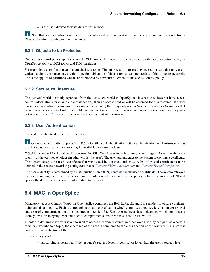**–** is the user allowed to write data to the network

 $\overrightarrow{l}$  Note that access control is not enforced for intra-node communication, in other words communication between DDS applications running on the same node.

#### <span id="page-27-0"></span>**5.3.1 Objects to be Protected**

One access control policy applies to one DDS Domain. The objects to be protected by the access control policy in OpenSplice apply to DDS topics and DDS partitions.

For example, a classification can be attached to a topic. This may result in restricting access in a way that only users with a matching clearance may use this topic for publication of data or for subscription to data of this topic, respectively. The same applies to partitions which are referenced by a resource element of the access control policy.

#### <span id="page-27-1"></span>**5.3.2 Secure** *vs.* **Insecure**

The *'secure'* world is strictly separated from the *'insecure'* world in OpenSplice. If a resource does not have access control information (for example a classification), then no access control will be enforced for this resource. If a user has no access control information (for example a clearance) they may only access 'insecure' resources (resources that do not have access control information like a classification). If a user has access control information, then they may not access 'insecure' resources that don't have access control information.

#### <span id="page-27-2"></span>**5.3.3 User Authentication**

The system authenticates the user's identity.

 $\dot{U}$  OpenSplice currently supports SSL X.509 Certificate Authentication. Other authentication mechanisms (such as user ID - password authentication) may be available in a future release.

X.509 is a standard for digital certificates used by SSL. Certificates include, among other things, information about the identity of the certificate holder (in other words: the user). The user authenticates to the system presenting a certificate. The system accepts the user's certificate if it was issued by a trusted authority. A list of trusted certificates can be defined in the secure networking configuration (see *[Element X509Authentication](#page-13-4)* and *[Element TrustedCertificates](#page-14-3)*.

The user's identity is determined by a distinguished name (DN) contained in the user's certificate. The system retrieves the corresponding user from the access control policy (each user entry in the policy defines the subject's DN) and applies the defined access control information to this user.

# <span id="page-27-3"></span>**5.4 MAC in OpenSplice**

Mandatory Access Control (MAC) in Open Splice combines the Bell-LaPadula and Biba models to ensure confidentiality and data integrity. Each resource (object) has a classification which comprises a secrecy level, an integrity level and a set of compartments that this resource is intended for. Each user (subject) has a clearance which comprises a secrecy level, an integrity level and a set of compartments this user has a 'need-to-know' for.

In order to determine if a user is authorized to access a certain resource, in other words, if they can publish a certain topic or subscribe to a topic, the clearance of the user is compared to the classification of the resource. This process comprises the evaluation of the:

- secrecy level
	- **–** subscribing is permitted if the resource's secrecy level is identical or lower than the user's secrecy level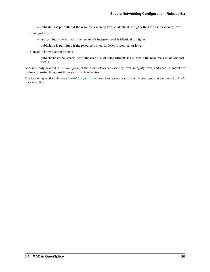- **–** publishing is permitted if the resource's secrecy level is identical or higher than the user's secrecy level
- integrity level
	- **–** subscribing is permitted if the resource's integrity level is identical or higher
	- **–** publishing is permitted if the resource's integrity level is identical or lower
- need to know (compartment)
	- **–** publish/subscribe is permitted if the user's set of compartments is a subset of the resource's set of compartments

Access is only granted if *all three parts* of the user's clearance (secrecy level, integrity level, and need-to-know) are evaluated positively against the resource's classification.

The following section, *[Access Control Configuration](#page-29-0)* describes access control policy configuration elements for MAC in OpenSplice.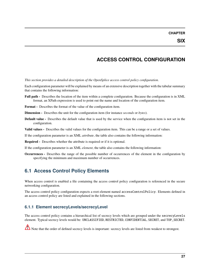# **ACCESS CONTROL CONFIGURATION**

<span id="page-29-0"></span>*This section provides a detailed description of the OpenSplice access control policy configuration.*

Each configuration parameter will be explained by means of an extensive description together with the tabular summary that contains the following information:

**Full path -** Describes the location of the item within a complete configuration. Because the configuration is in XML format, an XPath expression is used to point out the name and location of the configuration item.

**Format -** Describes the format of the value of the configuration item.

- **Dimension -** Describes the unit for the configuration item (for instance *seconds* or *bytes*).
- **Default value -** Describes the default value that is used by the service when the configuration item is not set in the configuration.
- **Valid values -** Describes the valid values for the configuration item. This can be a range or a set of values.
- If the configuration parameter is an XML *attribute*, the table also contains the following information:
- **Required -** Describes whether the attribute is required or if it is optional.

If the configuration parameter is an XML *element*, the table also contains the following information:

**Occurrences -** Describes the range of the possible number of occurrences of the element in the configuration by specifying the minimum and maximum number of occurrences.

# <span id="page-29-1"></span>**6.1 Access Control Policy Elements**

When access control is enabled a file containing the access control policy configuration is referenced in the secure networking configuration.

The access control policy configuration expects a root element named accessControlPolicy. Elements defined in an access control policy are listed and explained in the following sections.

#### <span id="page-29-2"></span>**6.1.1 Element secrecyLevels/secrecyLevel**

The access control policy contains a hierarchical list of secrecy levels which are grouped under the secrecyLevels element. Typical secrecy levels would be: UNCLASSIFIED, RESTRICTED, CONFIDENTIAL, SECRET, and TOP\_SECRET.

Note that the order of defined secrecy levels is important: secrecy levels are listed from weakest to strongest.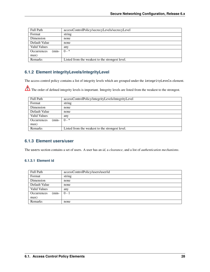| <b>Full Path</b>       | accessControlPolicy/secrecyLevels/secrecyLevel  |
|------------------------|-------------------------------------------------|
| Format                 | string                                          |
| Dimension              | none                                            |
| Default Value          | none                                            |
| <b>Valid Values</b>    | any                                             |
| Occurrences<br>$(min-$ | $0 - *$                                         |
| max)                   |                                                 |
| Remarks                | Listed from the weakest to the strongest level. |

### <span id="page-30-0"></span>**6.1.2 Element integrityLevels/integrityLevel**

The access control policy contains a list of integrity levels which are grouped under the integrityLevels element.

The order of defined integrity levels is important. Integrity levels are listed from the weakest to the strongest.

| <b>Full Path</b>              | accessControlPolicy/integrityLevels/integrityLevel |
|-------------------------------|----------------------------------------------------|
| Format                        | string                                             |
| Dimension                     | none                                               |
| Default Value                 | none                                               |
| <b>Valid Values</b>           | any                                                |
| $(min-$<br><b>Occurrences</b> | $0 - *$                                            |
| max)                          |                                                    |
| <b>Remarks</b>                | Listed from the weakest to the strongest level.    |

#### <span id="page-30-1"></span>**6.1.3 Element users/user**

The users section contains a set of users. A user has an *id*, a *clearance*, and a list of *authentication mechanisms*.

#### <span id="page-30-2"></span>**6.1.3.1 Element id**

| <b>Full Path</b>       | accessControlPolicy/users/user/id |
|------------------------|-----------------------------------|
| Format                 | string                            |
| Dimension              | none                              |
| Default Value          | none                              |
| <b>Valid Values</b>    | any                               |
| $(min-$<br>Occurrences | $0 - 1$                           |
| max)                   |                                   |
| Remarks                | none                              |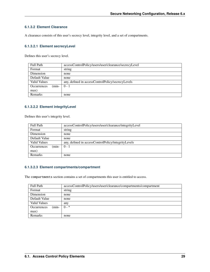#### <span id="page-31-0"></span>**6.1.3.2 Element Clearance**

A clearance consists of this user's secrecy level, integrity level, and a set of compartments.

#### <span id="page-31-1"></span>**6.1.3.2.1 Element secrecyLevel**

Defines this user's secrecy level.

| <b>Full Path</b>              | accessControlPolicy/users/user/clearance/secrecyLevel |
|-------------------------------|-------------------------------------------------------|
| Format                        | string                                                |
| Dimension                     | none                                                  |
| Default Value                 | none                                                  |
| <b>Valid Values</b>           | any, defined in accessControlPolicy/secrecyLevels     |
| $(min-$<br><b>Occurrences</b> | $0 - 1$                                               |
| max)                          |                                                       |
| <b>Remarks</b>                | none                                                  |

#### <span id="page-31-2"></span>**6.1.3.2.2 Element integrityLevel**

Defines this user's integrity level.

| <b>Full Path</b>              | accessControlPolicy/users/user/clearance/integrityLevel |
|-------------------------------|---------------------------------------------------------|
| Format                        | string                                                  |
| Dimension                     | none                                                    |
| Default Value                 | none                                                    |
| <b>Valid Values</b>           | any, defined in accessControlPolicy/integrityLevels     |
| $(min-$<br><b>Occurrences</b> | $0 - 1$                                                 |
| max)                          |                                                         |
| <b>Remarks</b>                | none                                                    |

#### <span id="page-31-3"></span>**6.1.3.2.3 Element compartments/compartment**

The compartments section contains a set of compartments this user is entitled to access.

| <b>Full Path</b>       | accessControlPolicy/users/user/clearance/compartments/compartment |
|------------------------|-------------------------------------------------------------------|
| Format                 | string                                                            |
| Dimension              | none                                                              |
| Default Value          | none                                                              |
| Valid Values           | any                                                               |
| $(min-$<br>Occurrences | $0 - *$                                                           |
| max)                   |                                                                   |
| Remarks                | none                                                              |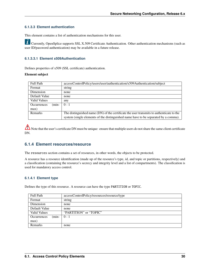#### <span id="page-32-0"></span>**6.1.3.3 Element authentication**

This element contains a list of authentication mechanisms for this user.

 $\tilde{\bm{l}}$ Currently, OpenSplice supports SSL X.509 Certificate Authentication. Other authentication mechanisms (such as user ID/password authentication) may be available in a future release.

#### <span id="page-32-1"></span>**6.1.3.3.1 Element x509Authentication**

Defines properties of x509 (SSL certificate) authentication.

#### **Element subject**

| <b>Full Path</b>              | accessControlPolicy/users/user/authentication/x509Authentication/subject                 |
|-------------------------------|------------------------------------------------------------------------------------------|
| Format                        | string                                                                                   |
| Dimension                     | none                                                                                     |
| Default Value                 | none                                                                                     |
| <b>Valid Values</b>           | any                                                                                      |
| $(min-$<br><b>Occurrences</b> | $0 - 1$                                                                                  |
| max)                          |                                                                                          |
| <b>Remarks</b>                | The distinguished name (DN) of the certificate the user transmits to authenticate to the |
|                               | system (single elements of the distinguished name have to be separated by a comma).      |

Note that the user's certificate DN must be unique: ensure that multiple users do not share the same client certificate DN.

#### <span id="page-32-2"></span>**6.1.4 Element resources/resource**

The resources section contains a set of resources, in other words, the objects to be protected.

A resource has a resource identification (made up of the resource's type, id, and topic or partitions, respectively) and a classification (containing the resource's secrecy and integrity level and a list of compartments). The classification is used for mandatory access control.

#### <span id="page-32-3"></span>**6.1.4.1 Element type**

Defines the type of this resource. A resource can have the type PARTITION or TOPIC.

| <b>Full Path</b>       | accessControlPolicy/resources/resource/type |
|------------------------|---------------------------------------------|
| Format                 | string                                      |
| Dimension              | none                                        |
| Default Value          | none                                        |
| <b>Valid Values</b>    | "PARTITION" or "TOPIC"                      |
| $(min-$<br>Occurrences | $0 - 1$                                     |
| max)                   |                                             |
| Remarks                | none                                        |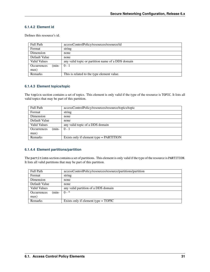#### <span id="page-33-0"></span>**6.1.4.2 Element id**

Defines this resource's id.

| <b>Full Path</b>              | accessControlPolicy/resources/resource/id         |
|-------------------------------|---------------------------------------------------|
| Format                        | string                                            |
| Dimension                     | none                                              |
| Default Value                 | none                                              |
| <b>Valid Values</b>           | any valid topic or partition name of a DDS domain |
| $(min-$<br><b>Occurrences</b> | $0 - 1$                                           |
| max)                          |                                                   |
| <b>Remarks</b>                | This is related to the type element value.        |

#### <span id="page-33-1"></span>**6.1.4.3 Element topics/topic**

The topics section contains a set of topics. This element is only valid if the type of the resource is TOPIC. It lists all valid topics that may be part of this partition.

| <b>Full Path</b>       | accessControlPolicy/resources/resource/topics/topic |
|------------------------|-----------------------------------------------------|
| Format                 | string                                              |
| Dimension              | none                                                |
| Default Value          | none                                                |
| <b>Valid Values</b>    | any valid topic of a DDS domain                     |
| $(min-$<br>Occurrences | $0 - 1$                                             |
| max)                   |                                                     |
| <b>Remarks</b>         | Exists only if element type = PARTITION             |

#### <span id="page-33-2"></span>**6.1.4.4 Element partitions/partition**

The partitions section contains a set of partitions. This element is only valid if the type of the resource is PARTITION. It lists all valid partitions that may be part of this partition.

| <b>Full Path</b>              | accessControlPolicy/resources/resource/partitions/partition |
|-------------------------------|-------------------------------------------------------------|
| Format                        | string                                                      |
| Dimension                     | none                                                        |
| Default Value                 | none                                                        |
| <b>Valid Values</b>           | any valid partition of a DDS domain                         |
| $(min-$<br><b>Occurrences</b> | $0 - *$                                                     |
| max)                          |                                                             |
| Remarks                       | Exists only if element type $= TOPIC$                       |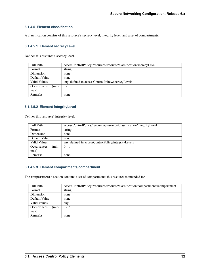#### <span id="page-34-0"></span>**6.1.4.5 Element classification**

A classification consists of this resource's secrecy level, integrity level, and a set of compartments.

#### <span id="page-34-1"></span>**6.1.4.5.1 Element secrecyLevel**

Defines this resource's secrecy level.

| <b>Full Path</b>              | accessControlPolicy/resources/resource/classification/secrecyLevel |
|-------------------------------|--------------------------------------------------------------------|
| Format                        | string                                                             |
| Dimension                     | none                                                               |
| Default Value                 | none                                                               |
| <b>Valid Values</b>           | any, defined in accessControlPolicy/secrecyLevels                  |
| $(min-$<br><b>Occurrences</b> | $0 - 1$                                                            |
| max)                          |                                                                    |
| <b>Remarks</b>                | none                                                               |

#### <span id="page-34-2"></span>**6.1.4.5.2 Element integrityLevel**

Defines this resource' integrity level.

| <b>Full Path</b>       | accessControlPolicy/resources/resource/classification/integrityLevel |
|------------------------|----------------------------------------------------------------------|
| Format                 | string                                                               |
| Dimension              | none                                                                 |
| Default Value          | none                                                                 |
| <b>Valid Values</b>    | any, defined in accessControlPolicy/integrityLevels                  |
| $(min-$<br>Occurrences | $0 - 1$                                                              |
| max)                   |                                                                      |
| <b>Remarks</b>         | none                                                                 |

#### <span id="page-34-3"></span>**6.1.4.5.3 Element compartments/compartment**

The compartments section contains a set of compartments this resource is intended for.

| <b>Full Path</b>       | accessControlPolicy/resources/resource/classification/compartments/compartment |
|------------------------|--------------------------------------------------------------------------------|
| Format                 | string                                                                         |
| Dimension              | none                                                                           |
| Default Value          | none                                                                           |
| Valid Values           | any                                                                            |
| $(min-$<br>Occurrences | $0 - *$                                                                        |
| max)                   |                                                                                |
| Remarks                | none                                                                           |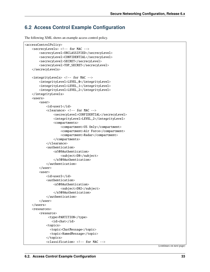# <span id="page-35-0"></span>**6.2 Access Control Example Configuration**

The following XML shows an example access control policy.

```
<accessControlPolicy>
   <secrecyLevels> <!-- for MAC -->
        <secrecyLevel>UNCLASSIFIED</secrecyLevel>
        <secrecyLevel>CONFIDENTIAL</secrecyLevel>
        <secrecyLevel>SECRET</secrecyLevel>
        <secrecyLevel>TOP_SECRET</secrecyLevel>
   </secrecyLevels>
   <integrityLevels> <!-- for MAC -->
        <integrityLevel>LEVEL_0</integrityLevel>
        <integrityLevel>LEVEL_1</integrityLevel>
        <integrityLevel>LEVEL_2</integrityLevel>
   </integrityLevels>
   <users>
        <user>
            <id>user1</id>
            <clearance> <!-- for MAC -->
                <secrecyLevel>CONFIDENTIAL</secrecyLevel>
                <integrityLevel>LEVEL_2</integrityLevel>
                <compartments>
                    <compartment>US Only</compartment>
                    <compartment>Air Force</compartment>
                    <compartment>Radar</compartment>
                </compartments>
            </clearance>
            <authentication>
                <x509Authentication>
                    <subject>DN</subject>
                </x509Authentication>
            </authentication>
       </user>
        <user>
            <id>user2</id>
            <authentication>
                <x509Authentication>
                    <subject>DN2</subject>
                </x509Authentication>
            </authentication>
        </user>
   </users>
   <resources>
        <resource>
             <type>PARTITION</type>
               <id>chat</id>
            <topics>
              <topic>ChatMessage</topic>
              <topic>NamedMessage</topic>
            </topics>
            <classification> <!-- for MAC -->
```
(continues on next page)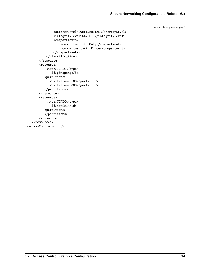(continued from previous page)

```
<secrecyLevel>CONFIDENTIAL</secrecyLevel>
                <integrityLevel>LEVEL_1</integrityLevel>
                <compartments>
                    <compartment>US Only</compartment>
                    <compartment>Air Force</compartment>
                </compartments>
            </classification>
       </resource>
        <resource>
            <type>TOPIC</type>
              <id>pingpong</id>
           <partitions>
              <partition>PING</partition>
              <partition>PONG</partition>
           </partitions>
       </resource>
        <resource>
            <type>TOPIC</type>
              <id>topic1</id>
           <partitions>
           </partitions>
        </resource>
   </resources>
</accessControlPolicy>
```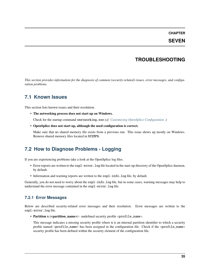#### **CHAPTER**

#### **SEVEN**

# **TROUBLESHOOTING**

<span id="page-37-0"></span>*This section provides information for the diagnosis of common (security-related) issues, error messages, and configuration problems.*

# <span id="page-37-1"></span>**7.1 Known Issues**

This section lists known issues and their resolution.

• **The networking process does not start up on Windows.**

Check for the startup command snetworking.exe (*cf. [Customizing OpenSplice Configuration](#page-17-3)* .)

• **OpenSplice does not start up, although the used configuration is correct.**

Make sure that no shared memory file exists from a previous run. This issue shows up mostly on Windows. Remove shared memory files located in %TEMP%.

# <span id="page-37-2"></span>**7.2 How to Diagnose Problems - Logging**

If you are experiencing problems take a look at the OpenSplice log files.

- Error reports are written to the ospl-error.log file located in the start-up directory of the OpenSplice daemon, by default.
- Information and warning reports are written to the ospl-info.log file, by default.

Generally, you do not need to worry about the ospl-info.log file, but in some cases, warning messages may help to understand the error message contained in the ospl-error.log file.

#### <span id="page-37-3"></span>**7.2.1 Error Messages**

Below are described security-related error messages and their resolution. Error messages are written to the ospl-error.log file.

• **Partition x (<partition\_name>)** - undefined security profile <profile\_name>.

This message indicates a missing security profile where **x** is an internal partition identifier to which a security profile named <profile\_name> has been assigned in the configuration file. Check if the <profile\_name> security profile has been defined within the security element of the configuration file.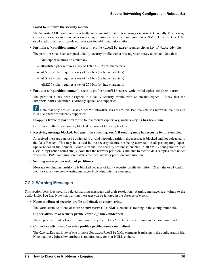#### • **Failed to initialize the security module.**

The Security XML configuration is faulty and some information is missing or incorrect. Generally, this message comes after one or more messages reporting missing or incorrect configuration of XML elements. Check the ospl-info.log security-related messages for additional information.

• **Partition x (<partition name>)** - security profile <profile\_name> requires cipher key of <br/> <br/>sts\_nb> bits.

The partition **x** has been assigned a faulty security profile with a missing CipherKey attribute. Note that:

- **–** Null cipher requires no cipher key
- **–** Blowfish cipher requires a key of 128 bits (32 hex-characters)
- **–** AES128 cipher requires a key of 128 bits (32 hex-characters)
- **–** AES192 cipher requires a key of 192 bits (48 hex-characters)
- **–** AES256 cipher requires a key of 256 bits (64 hex-characters)
- **Partition x (<partition name>)** security profile <profile\_name> with invalid cipher <cipher\_name>.

The partition **x** has been assigned to a faulty security profile with an invalid cipher. Check that the <cipher\_name> identifier is correctly spelled and supported.

 $\mathbf{L}$ Note that only aes128, aes192, aes256, blowfish, rsa-aes128, rsa-192, rsa-256, rsa-blowfish, rsa-null and NULL ciphers are currently supported.

• **Dropping traffic of partition x due to insufficient cipher key, until re-keying has been done.**

Partition **x** traffic is temporarily blocked because of faulty cipher key.

• **Receiving message blocked, bad partition encoding, verify if sending node has security feature enabled.**

A received message cannot be assigned to a valid network partition, the message is blocked and not delegated to the Data Reader. This may be caused by the security feature not being activated on all participating Open-Splice nodes in the domain. Make sure that the security feature is enabled in all OSPL configuration files (Security[@enabled=true]). Note that the network partition is still able to receive data samples from nodes where the OSPL configuration matches the local network partition configuration.

• **Sending message blocked, bad partition x.**

Message sending on partition **x** is blocked because of faulty security profile definition. Check the ospl-info. log for security-related warning messages indicating missing elements.

### <span id="page-38-0"></span>**7.2.2 Warning Messages**

This section describes security-related warning messages and their resolution. Warning messages are written to the ospl-info.log file. Note that warning messages can be ignored in the absence of errors.

• **Name attribute of security profile undefined, or empty string.**

The Name attribute of one or more SecurityProfile XML elements is missing in the configuration file.

• Cipher attribute of security profile <profile\_name> undefined.

The Cipher attribute of one or more SecurityProfile XML elements is missing in the configuration file.

• **CipherKey attribute of security profile <profile\_name> not defined.**

The CipherKey attribute of one or more SecurityProfile XML elements is missing in the configuration file. Note that the CipherKey attribute is required only for non-NULL ciphers.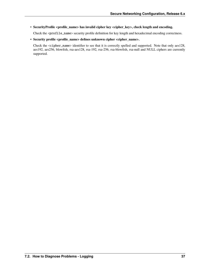• **SecurityProfile <profile\_name> has invalid cipher key <cipher\_key>, check length and encoding.**

Check the <profile\_name> security profile definition for key length and hexadecimal encoding correctness.

• **Security profile <profile\_name> defines unknown cipher <cipher\_name>.**

Check the <cipher\_name> identifier to see that it is correctly spelled and supported. Note that only aes128, aes192, aes256, blowfish, rsa-aes128, rsa-192, rsa-256, rsa-blowfish, rsa-null and NULL ciphers are currently supported.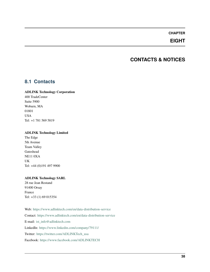#### **CHAPTER**

# **EIGHT**

# **CONTACTS & NOTICES**

### <span id="page-40-1"></span><span id="page-40-0"></span>**8.1 Contacts**

#### **ADLINK Technology Corporation**

400 TradeCenter Suite 5900 Woburn, MA 01801 USA Tel: +1 781 569 5819

#### **ADLINK Technology Limited**

The Edge 5th Avenue Team Valley Gateshead NE11 0XA UK Tel: +44 (0)191 497 9900

#### **ADLINK Technology SARL**

28 rue Jean Rostand 91400 Orsay France Tel: +33 (1) 69 015354

Web: <https://www.adlinktech.com/en/data-distribution-service> Contact: <https://www.adlinktech.com/en/data-distribution-service> E-mail: [ist\\_info@adlinktech.com](mailto:ist_info@adlinktech.com) LinkedIn: <https://www.linkedin.com/company/79111/> Twitter: [https://twitter.com/ADLINKTech\\_usa](https://twitter.com/ADLINKTech_usa) Facebook: <https://www.facebook.com/ADLINKTECH>